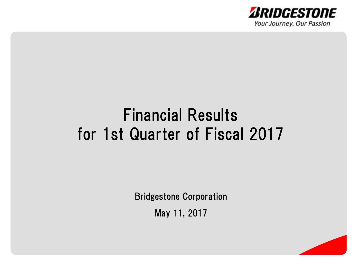

# Financial Results for 1st Quarter of Fiscal 2017

Bridgestone Corporation

May 11, 2017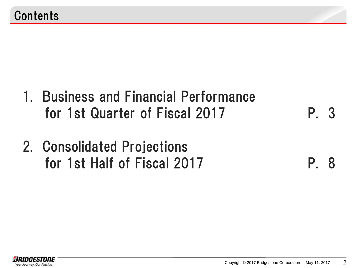- 1. Business and Financial Performance for 1st Quarter of Fiscal 2017 P. 3
- 2. Consolidated Projections for 1st Half of Fiscal 2017 P. 8

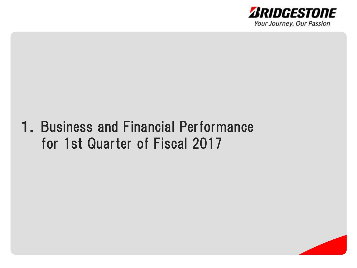

# 1.Business and Financial Performance for 1st Quarter of Fiscal 2017

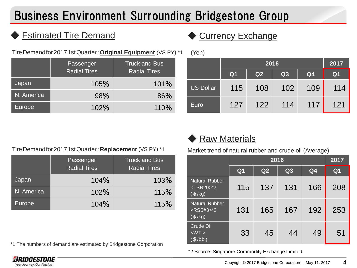# Business Environment Surrounding Bridgestone Group

#### **Estimated Tire Demand → Currency Exchange**

TireDemandfor20171stQuarter:**Original Equipment** (VS PY) \*1 (Yen)

|               | Passenger<br><b>Radial Tires</b> | <b>Truck and Bus</b><br><b>Radial Tires</b> |
|---------------|----------------------------------|---------------------------------------------|
| Japan         | 105%                             | 101%                                        |
| N. America    | 98%                              | 86%                                         |
| <b>Europe</b> | 102%                             | 110%                                        |

| ,                | 2016           |     |     |                | 2017           |
|------------------|----------------|-----|-----|----------------|----------------|
|                  | Q <sub>1</sub> | Q2  | Q3  | Q <sub>4</sub> | Q <sub>1</sub> |
| <b>US Dollar</b> | 115            | 108 | 102 | 109            | 114            |
| Euro             | 127            | 122 | 114 | 117            | 121            |

#### TireDemandfor20171stQuarter:**Replacement** (VS PY) \*1

|               | Passenger<br><b>Radial Tires</b> | <b>Truck and Bus</b><br><b>Radial Tires</b> |
|---------------|----------------------------------|---------------------------------------------|
| Japan         | 104%                             | 103%                                        |
| N. America    | 102%                             | 115%                                        |
| <b>Europe</b> | 104%                             | 115%                                        |

\*1 The numbers of demand are estimated by Bridgestone Corporation

#### **Raw Materials**

Market trend of natural rubber and crude oil (Average)

|                                                                       | 2016           |     |     | 2017           |                |
|-----------------------------------------------------------------------|----------------|-----|-----|----------------|----------------|
|                                                                       | Q <sub>1</sub> | Q2  | Q3  | Q <sub>4</sub> | Q <sub>1</sub> |
| <b>Natural Rubber</b><br>$<$ TSR20 $>$ *2<br>$(\phi/kg)$              | 115            | 137 | 131 | 166            | 208            |
| <b>Natural Rubber</b><br><rss#3>*2<br/><math>(\phi/kg)</math></rss#3> | 131            | 165 | 167 | 192            | 253            |
| Crude Oil<br>$<$ WTI $>$<br>(\$/bbl)                                  | 33             | 45  | 44  | 49             | 51             |

\*2 Source: Singapore Commodity Exchange Limited

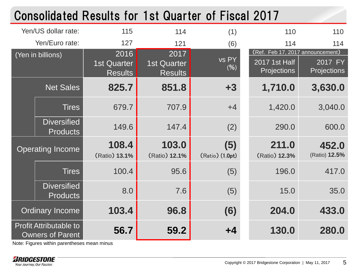|                                                          |                                       |                                              | <b>Consolidated Results for 1st Quarter of Fiscal 2017</b> |                                                                  |                        |
|----------------------------------------------------------|---------------------------------------|----------------------------------------------|------------------------------------------------------------|------------------------------------------------------------------|------------------------|
| Yen/US dollar rate:                                      | 115                                   | 114                                          | (1)                                                        | 110                                                              | 110                    |
| Yen/Euro rate:                                           | 127                                   | 121                                          | (6)                                                        | 114                                                              | 114                    |
| (Yen in billions)                                        | 2016<br>1st Quarter<br><b>Results</b> | 2017<br><b>1st Quarter</b><br><b>Results</b> | vs PY<br>(%)                                               | (Ref. Feb 17, 2017 announcement)<br>2017 1st Half<br>Projections | 2017 FY<br>Projections |
| <b>Net Sales</b>                                         | 825.7                                 | 851.8                                        | $+3$                                                       | 1,710.0                                                          | 3,630.0                |
| <b>Tires</b>                                             | 679.7                                 | 707.9                                        | $+4$                                                       | 1,420.0                                                          | 3,040.0                |
| <b>Diversified</b><br><b>Products</b>                    | 149.6                                 | 147.4                                        | (2)                                                        | 290.0                                                            | 600.0                  |
| <b>Operating Income</b>                                  | 108.4<br>(Ratio) 13.1%                | 103.0<br>(Ratio) 12.1%                       | (5)<br>(Ratio) (1.0pt)                                     | 211.0<br>(Ratio) 12.3%                                           | 452.0<br>(Ratio) 12.5% |
| <b>Tires</b>                                             | 100.4                                 | 95.6                                         | (5)                                                        | 196.0                                                            | 417.0                  |
| <b>Diversified</b><br><b>Products</b>                    | 8.0                                   | 7.6                                          | (5)                                                        | 15.0                                                             | 35.0                   |
| <b>Ordinary Income</b>                                   | 103.4                                 | 96.8                                         | (6)                                                        | 204.0                                                            | 433.0                  |
| <b>Profit Attributable to</b><br><b>Owners of Parent</b> | 56.7                                  | 59.2                                         | +4                                                         | 130.0                                                            | 280.0                  |

Note: Figures within parentheses mean minus

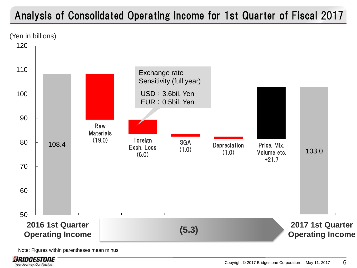### Analysis of Consolidated Operating Income for 1st Quarter of Fiscal 2017





Note: Figures within parentheses mean minus

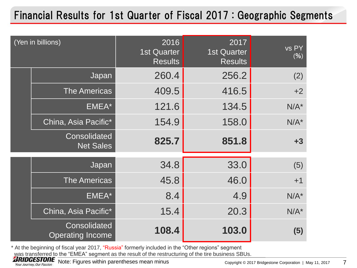### Financial Results for 1st Quarter of Fiscal 2017 : Geographic Segments

| (Yen in billions)                       | 2016<br><b>1st Quarter</b><br><b>Results</b> | 2017<br><b>1st Quarter</b><br><b>Results</b> | vs PY<br>(%) |
|-----------------------------------------|----------------------------------------------|----------------------------------------------|--------------|
| Japan                                   | 260.4                                        | 256.2                                        | (2)          |
| <b>The Americas</b>                     | 409.5                                        | 416.5                                        | $+2$         |
| EMEA*                                   | 121.6                                        | 134.5                                        | $N/A^*$      |
| China, Asia Pacific*                    | 154.9                                        | 158.0                                        | $N/A^*$      |
| Consolidated<br><b>Net Sales</b>        | 825.7                                        | 851.8                                        | $+3$         |
| Japan                                   | 34.8                                         | 33.0                                         | (5)          |
| <b>The Americas</b>                     | 45.8                                         | 46.0                                         | $+1$         |
| EMEA*                                   | 8.4                                          | 4.9                                          | $N/A^*$      |
| China, Asia Pacific*                    | 15.4                                         | 20.3                                         | $N/A^*$      |
| Consolidated<br><b>Operating Income</b> | 108.4                                        | 103.0                                        | (5)          |

\* At the beginning of fiscal year 2017, "Russia" formerly included in the "Other regions" segment was transferred to the "EMEA" segment as the result of the restructuring of the tire business SBUs.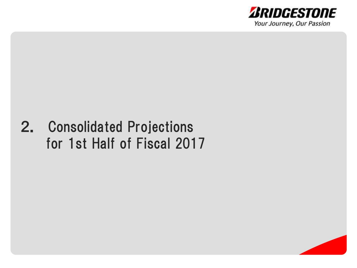

# 2. Consolidated Projections for 1st Half of Fiscal 2017

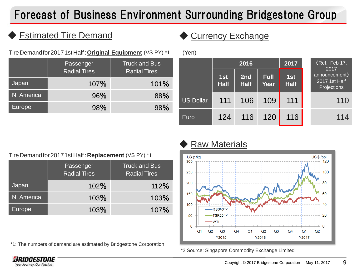## Forecast of Business Environment Surrounding Bridgestone Group

#### **Estimated Tire Demand ← Currency Exchange**

TireDemandfor20171stHalf:**Original Equipment** (VS PY) \*1

|               | <b>Passenger</b><br><b>Radial Tires</b> | <b>Truck and Bus</b><br><b>Radial Tires</b> |
|---------------|-----------------------------------------|---------------------------------------------|
| Japan         | 107%                                    | 101%                                        |
| N. America    | 96%                                     | 88%                                         |
| <b>Europe</b> | 98%                                     | 98%                                         |

| Yen)             |                    |                    |                     |                       |                                               |
|------------------|--------------------|--------------------|---------------------|-----------------------|-----------------------------------------------|
|                  | 2016               |                    | 2017                | (Ref. Feb 17,<br>2017 |                                               |
|                  | 1st<br><b>Half</b> | 2nd<br><b>Half</b> | <b>Full</b><br>Year | 1st<br><b>Half</b>    | announcement)<br>2017 1st Half<br>Projections |
| <b>US Dollar</b> | 111                | 106                | 109                 | 111                   | 110                                           |
| Euro             | 124                | 116                | 120                 | 116                   | 114                                           |

TireDemandfor20171stHalf:**Replacement** (VS PY) \*1

|               | Passenger<br><b>Radial Tires</b> | <b>Truck and Bus</b><br><b>Radial Tires</b> |
|---------------|----------------------------------|---------------------------------------------|
| Japan         | 102%                             | 112%                                        |
| N. America    | 103%                             | 103%                                        |
| <b>Europe</b> | 103%                             | 107%                                        |

\*1: The numbers of demand are estimated by Bridgestone Corporation

#### **Raw Materials**



\*2 Source: Singapore Commodity Exchange Limited

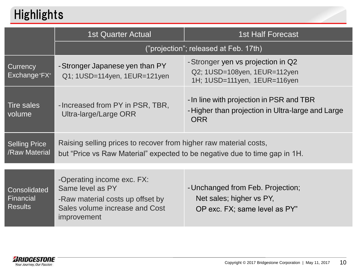# **Highlights**

|                                                    | <b>1st Quarter Actual</b>                                                                                                                       | <b>1st Half Forecast</b>                                                                                   |  |
|----------------------------------------------------|-------------------------------------------------------------------------------------------------------------------------------------------------|------------------------------------------------------------------------------------------------------------|--|
|                                                    |                                                                                                                                                 | ("projection"; released at Feb. 17th)                                                                      |  |
| Currency<br>Exchange"FX"                           | -Stronger Japanese yen than PY<br>Q1; 1USD=114yen, 1EUR=121yen                                                                                  | -Stronger yen vs projection in Q2<br>Q2; 1USD=108yen, 1EUR=112yen<br>1H; 1USD=111yen, 1EUR=116yen          |  |
| <b>Tire sales</b><br>volume                        | - Increased from PY in PSR, TBR,<br>Ultra-large/Large ORR                                                                                       | - In line with projection in PSR and TBR<br>-Higher than projection in Ultra-large and Large<br><b>ORR</b> |  |
| <b>Selling Price</b><br>/Raw Material              | Raising selling prices to recover from higher raw material costs,<br>but "Price vs Raw Material" expected to be negative due to time gap in 1H. |                                                                                                            |  |
| <b>Consolidated</b><br><b>Financial</b><br>Results | -Operating income exc. FX:<br>Same level as PY<br>-Raw material costs up offset by<br>Sales volume increase and Cost<br>improvement             | - Unchanged from Feb. Projection;<br>Net sales; higher vs PY,<br>OP exc. FX; same level as PY"             |  |